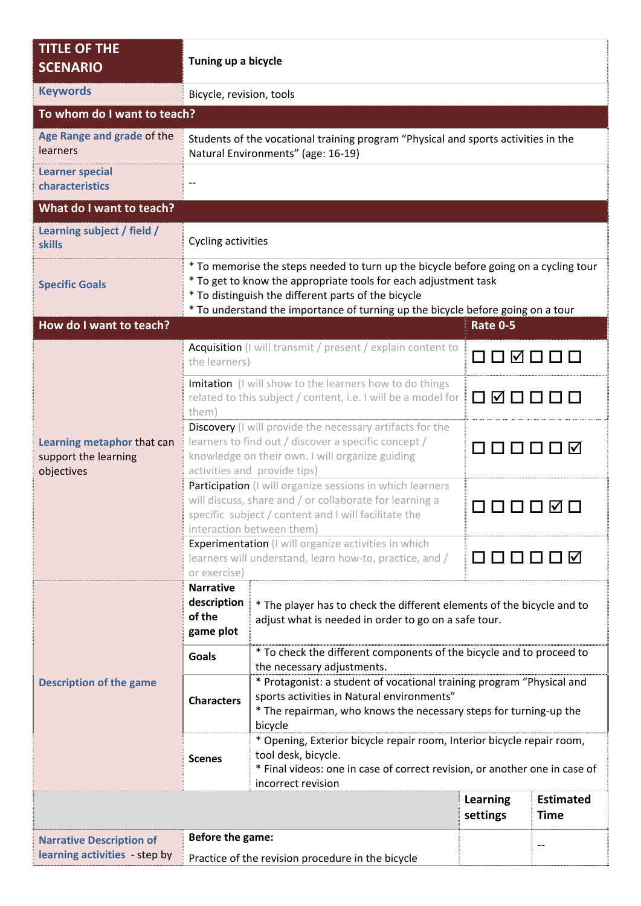| <b>TITLE OF THE</b><br><b>SCENARIO</b>                           | Tuning up a bicycle                                                                                                                                                                                                                                                                               |                                                                                                                                                                                                                                   |                      |                                 |  |  |
|------------------------------------------------------------------|---------------------------------------------------------------------------------------------------------------------------------------------------------------------------------------------------------------------------------------------------------------------------------------------------|-----------------------------------------------------------------------------------------------------------------------------------------------------------------------------------------------------------------------------------|----------------------|---------------------------------|--|--|
| <b>Keywords</b>                                                  |                                                                                                                                                                                                                                                                                                   | Bicycle, revision, tools                                                                                                                                                                                                          |                      |                                 |  |  |
| To whom do I want to teach?                                      |                                                                                                                                                                                                                                                                                                   |                                                                                                                                                                                                                                   |                      |                                 |  |  |
| Age Range and grade of the<br>learners                           | Students of the vocational training program "Physical and sports activities in the<br>Natural Environments" (age: 16-19)                                                                                                                                                                          |                                                                                                                                                                                                                                   |                      |                                 |  |  |
| <b>Learner special</b><br>characteristics                        |                                                                                                                                                                                                                                                                                                   |                                                                                                                                                                                                                                   |                      |                                 |  |  |
| What do I want to teach?                                         |                                                                                                                                                                                                                                                                                                   |                                                                                                                                                                                                                                   |                      |                                 |  |  |
| Learning subject / field /<br><b>skills</b>                      |                                                                                                                                                                                                                                                                                                   | Cycling activities                                                                                                                                                                                                                |                      |                                 |  |  |
| <b>Specific Goals</b>                                            | * To memorise the steps needed to turn up the bicycle before going on a cycling tour<br>* To get to know the appropriate tools for each adjustment task<br>* To distinguish the different parts of the bicycle<br>* To understand the importance of turning up the bicycle before going on a tour |                                                                                                                                                                                                                                   |                      |                                 |  |  |
| How do I want to teach?                                          |                                                                                                                                                                                                                                                                                                   |                                                                                                                                                                                                                                   | <b>Rate 0-5</b>      |                                 |  |  |
| Learning metaphor that can<br>support the learning<br>objectives | Acquisition (I will transmit / present / explain content to<br>the learners)                                                                                                                                                                                                                      |                                                                                                                                                                                                                                   | 000000               |                                 |  |  |
|                                                                  | Imitation (I will show to the learners how to do things<br>related to this subject / content, i.e. I will be a model for<br>them)                                                                                                                                                                 |                                                                                                                                                                                                                                   | O Ø O O O O          |                                 |  |  |
|                                                                  | Discovery (I will provide the necessary artifacts for the<br>learners to find out / discover a specific concept /<br>knowledge on their own. I will organize guiding<br>activities and provide tips)                                                                                              |                                                                                                                                                                                                                                   | ᄗᇚᇚᇚᆷᇕ               |                                 |  |  |
|                                                                  | Participation (I will organize sessions in which learners<br>will discuss, share and / or collaborate for learning a<br>specific subject / content and I will facilitate the<br>interaction between them)                                                                                         |                                                                                                                                                                                                                                   | $ {\bf v} $          |                                 |  |  |
|                                                                  | Experimentation (I will organize activities in which<br>learners will understand, learn how-to, practice, and /<br>or exercise)                                                                                                                                                                   |                                                                                                                                                                                                                                   | 00001<br>∐ ⊠         |                                 |  |  |
|                                                                  | <b>Narrative</b><br>description<br>of the<br>game plot                                                                                                                                                                                                                                            | * The player has to check the different elements of the bicycle and to<br>adjust what is needed in order to go on a safe tour.                                                                                                    |                      |                                 |  |  |
| <b>Description of the game</b>                                   | Goals                                                                                                                                                                                                                                                                                             | * To check the different components of the bicycle and to proceed to                                                                                                                                                              |                      |                                 |  |  |
|                                                                  | <b>Characters</b>                                                                                                                                                                                                                                                                                 | the necessary adjustments.<br>* Protagonist: a student of vocational training program "Physical and<br>sports activities in Natural environments"<br>* The repairman, who knows the necessary steps for turning-up the<br>bicycle |                      |                                 |  |  |
|                                                                  | <b>Scenes</b>                                                                                                                                                                                                                                                                                     | * Opening, Exterior bicycle repair room, Interior bicycle repair room,<br>tool desk, bicycle.<br>* Final videos: one in case of correct revision, or another one in case of<br>incorrect revision                                 |                      |                                 |  |  |
|                                                                  |                                                                                                                                                                                                                                                                                                   |                                                                                                                                                                                                                                   | Learning<br>settings | <b>Estimated</b><br><b>Time</b> |  |  |
| <b>Narrative Description of</b>                                  | Before the game:                                                                                                                                                                                                                                                                                  |                                                                                                                                                                                                                                   |                      |                                 |  |  |
| learning activities - step by                                    | Practice of the revision procedure in the bicycle                                                                                                                                                                                                                                                 |                                                                                                                                                                                                                                   |                      |                                 |  |  |